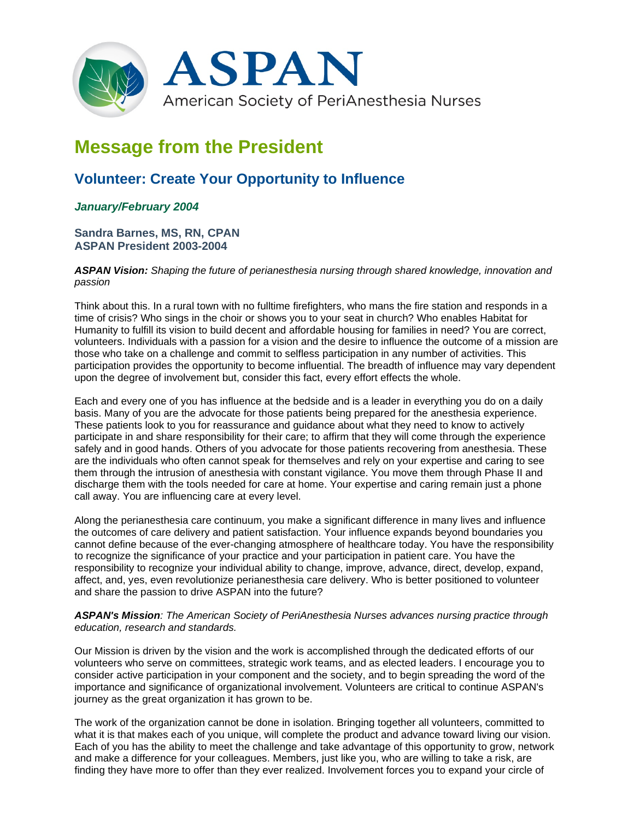

# **Message from the President**

# **Volunteer: Create Your Opportunity to Influence**

## *January/February 2004*

**Sandra Barnes, MS, RN, CPAN ASPAN President 2003-2004**

*ASPAN Vision: Shaping the future of perianesthesia nursing through shared knowledge, innovation and passion*

Think about this. In a rural town with no fulltime firefighters, who mans the fire station and responds in a time of crisis? Who sings in the choir or shows you to your seat in church? Who enables Habitat for Humanity to fulfill its vision to build decent and affordable housing for families in need? You are correct, volunteers. Individuals with a passion for a vision and the desire to influence the outcome of a mission are those who take on a challenge and commit to selfless participation in any number of activities. This participation provides the opportunity to become influential. The breadth of influence may vary dependent upon the degree of involvement but, consider this fact, every effort effects the whole.

Each and every one of you has influence at the bedside and is a leader in everything you do on a daily basis. Many of you are the advocate for those patients being prepared for the anesthesia experience. These patients look to you for reassurance and guidance about what they need to know to actively participate in and share responsibility for their care; to affirm that they will come through the experience safely and in good hands. Others of you advocate for those patients recovering from anesthesia. These are the individuals who often cannot speak for themselves and rely on your expertise and caring to see them through the intrusion of anesthesia with constant vigilance. You move them through Phase II and discharge them with the tools needed for care at home. Your expertise and caring remain just a phone call away. You are influencing care at every level.

Along the perianesthesia care continuum, you make a significant difference in many lives and influence the outcomes of care delivery and patient satisfaction. Your influence expands beyond boundaries you cannot define because of the ever-changing atmosphere of healthcare today. You have the responsibility to recognize the significance of your practice and your participation in patient care. You have the responsibility to recognize your individual ability to change, improve, advance, direct, develop, expand, affect, and, yes, even revolutionize perianesthesia care delivery. Who is better positioned to volunteer and share the passion to drive ASPAN into the future?

#### *ASPAN's Mission: The American Society of PeriAnesthesia Nurses advances nursing practice through education, research and standards.*

Our Mission is driven by the vision and the work is accomplished through the dedicated efforts of our volunteers who serve on committees, strategic work teams, and as elected leaders. I encourage you to consider active participation in your component and the society, and to begin spreading the word of the importance and significance of organizational involvement. Volunteers are critical to continue ASPAN's journey as the great organization it has grown to be.

The work of the organization cannot be done in isolation. Bringing together all volunteers, committed to what it is that makes each of you unique, will complete the product and advance toward living our vision. Each of you has the ability to meet the challenge and take advantage of this opportunity to grow, network and make a difference for your colleagues. Members, just like you, who are willing to take a risk, are finding they have more to offer than they ever realized. Involvement forces you to expand your circle of